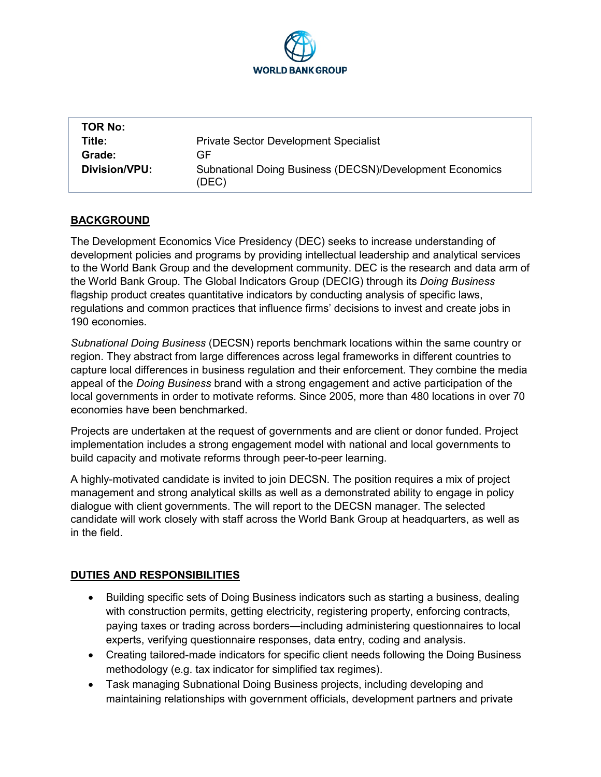

| <b>TOR No:</b> |                                                                   |
|----------------|-------------------------------------------------------------------|
| Title:         | <b>Private Sector Development Specialist</b>                      |
| Grade:         | GF                                                                |
| Division/VPU:  | Subnational Doing Business (DECSN)/Development Economics<br>(DEC) |

## **BACKGROUND**

The Development Economics Vice Presidency (DEC) seeks to increase understanding of development policies and programs by providing intellectual leadership and analytical services to the World Bank Group and the development community. DEC is the research and data arm of the World Bank Group. The Global Indicators Group (DECIG) through its *Doing Business* flagship product creates quantitative indicators by conducting analysis of specific laws, regulations and common practices that influence firms' decisions to invest and create jobs in 190 economies.

*Subnational Doing Business* (DECSN) reports benchmark locations within the same country or region. They abstract from large differences across legal frameworks in different countries to capture local differences in business regulation and their enforcement. They combine the media appeal of the *Doing Business* brand with a strong engagement and active participation of the local governments in order to motivate reforms. Since 2005, more than 480 locations in over 70 economies have been benchmarked.

Projects are undertaken at the request of governments and are client or donor funded. Project implementation includes a strong engagement model with national and local governments to build capacity and motivate reforms through peer-to-peer learning.

A highly-motivated candidate is invited to join DECSN. The position requires a mix of project management and strong analytical skills as well as a demonstrated ability to engage in policy dialogue with client governments. The will report to the DECSN manager. The selected candidate will work closely with staff across the World Bank Group at headquarters, as well as in the field.

## **DUTIES AND RESPONSIBILITIES**

- Building specific sets of Doing Business indicators such as starting a business, dealing with construction permits, getting electricity, registering property, enforcing contracts, paying taxes or trading across borders—including administering questionnaires to local experts, verifying questionnaire responses, data entry, coding and analysis.
- Creating tailored-made indicators for specific client needs following the Doing Business methodology (e.g. tax indicator for simplified tax regimes).
- Task managing Subnational Doing Business projects, including developing and maintaining relationships with government officials, development partners and private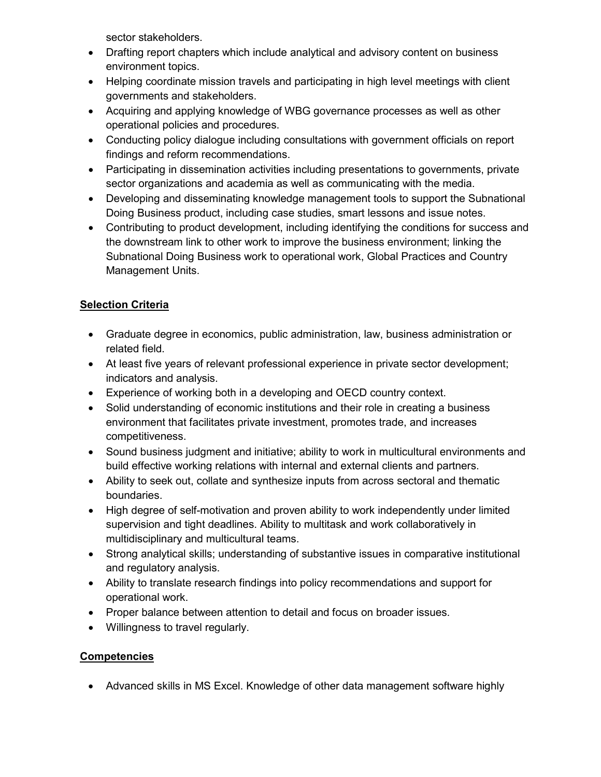sector stakeholders.

- Drafting report chapters which include analytical and advisory content on business environment topics.
- Helping coordinate mission travels and participating in high level meetings with client governments and stakeholders.
- Acquiring and applying knowledge of WBG governance processes as well as other operational policies and procedures.
- Conducting policy dialogue including consultations with government officials on report findings and reform recommendations.
- Participating in dissemination activities including presentations to governments, private sector organizations and academia as well as communicating with the media.
- Developing and disseminating knowledge management tools to support the Subnational Doing Business product, including case studies, smart lessons and issue notes.
- Contributing to product development, including identifying the conditions for success and the downstream link to other work to improve the business environment; linking the Subnational Doing Business work to operational work, Global Practices and Country Management Units.

## **Selection Criteria**

- Graduate degree in economics, public administration, law, business administration or related field.
- At least five years of relevant professional experience in private sector development; indicators and analysis.
- Experience of working both in a developing and OECD country context.
- Solid understanding of economic institutions and their role in creating a business environment that facilitates private investment, promotes trade, and increases competitiveness.
- Sound business judgment and initiative; ability to work in multicultural environments and build effective working relations with internal and external clients and partners.
- Ability to seek out, collate and synthesize inputs from across sectoral and thematic boundaries.
- High degree of self-motivation and proven ability to work independently under limited supervision and tight deadlines. Ability to multitask and work collaboratively in multidisciplinary and multicultural teams.
- Strong analytical skills; understanding of substantive issues in comparative institutional and regulatory analysis.
- Ability to translate research findings into policy recommendations and support for operational work.
- Proper balance between attention to detail and focus on broader issues.
- Willingness to travel regularly.

## **Competencies**

• Advanced skills in MS Excel. Knowledge of other data management software highly